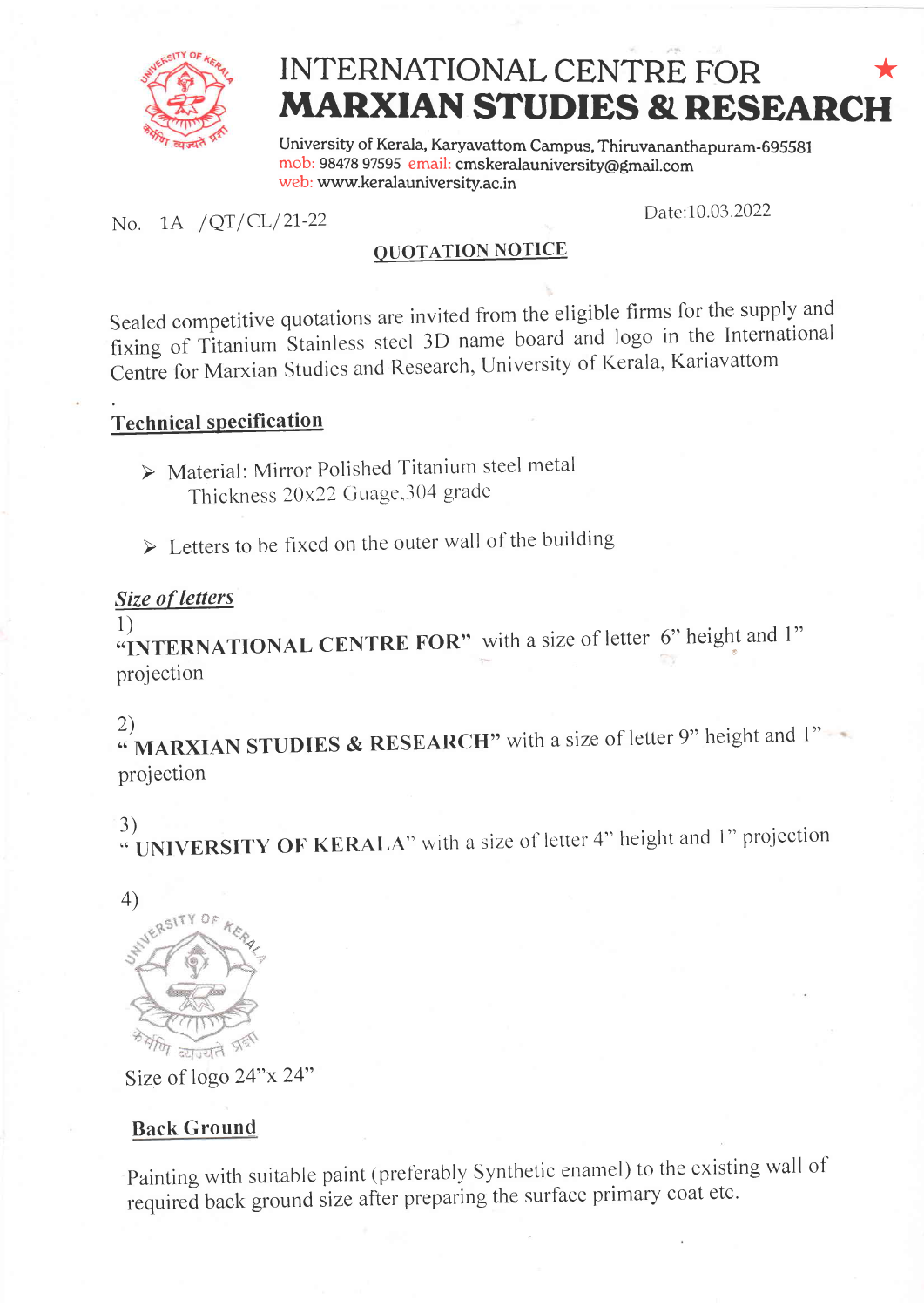

# \* MARXIAN STUDIES & RESEARCH INTERNATIONAL CENTRE FOR

University of Kerala, Karyavattom Campus, Thiruvananthapuram- 69558I mob: 98478 97595 email: cmskeralauniversity@gmail.com web: www.keralauniversity.ac.in

# No. 1A /QT/CL/21-22 Date:10.03.2022

### QUOTATION NOTICE

Sealed competitive quotations are invited from the eligible firms for the supply and fixing of Titanium Stainless steel 3D name board and logo in the International Centre for Marxian Studies and Research, University of Kerala, Kariavattom

# Technical specification

> Material: Mirror Polished Titanium steel metal Thickness  $20x22$  Guage, 304 grade

 $\triangleright$  Letters to be fixed on the outer wall of the building

#### Size of letters

1)

**T**/**NTERNATIONAL CENTRE FOR**" with a size of letter 6" height and 1" projection

2)<br>" **MARXIAN STUDIES & RESEARCH"** with a size of letter 9" height and 1" projection

3)  $\cdot$  UNIVERSITY OF KERALA" with a size of letter 4" height and 1" projection





Size of logo 24"x 24"

## Back Ground

Painting with suitable paint (preferably Synthetic enamel) to the existing wall of required back ground size after preparing the surface primary coat etc.